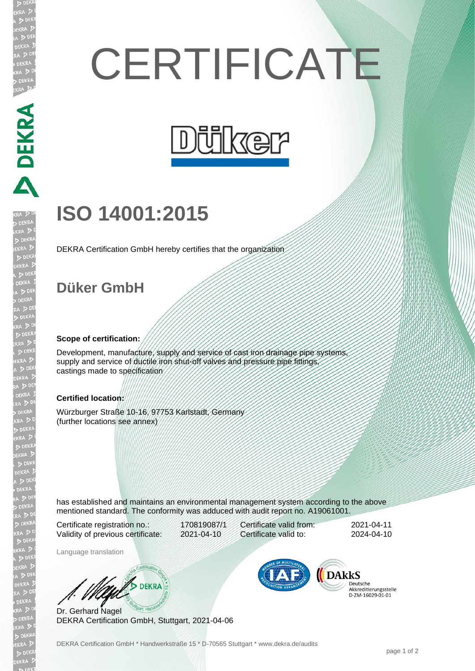# **CERTIFICATE**



## **ISO 14001:2015**

DEKRA Certification GmbH hereby certifies that the organization

### **Düker GmbH**

DEKRA DEKRA

EKR

#### **Scope of certification:**

Development, manufacture, supply and service of cast iron drainage pipe systems supply and service of ductile iron shut-off valves and pressure pipe fittings, castings made to specification

#### **Certified location:**

Würzburger Straße 10-16, 97753 Karlstadt, Germany (further locations see annex)

has established and maintains an environmental management system according to the above mentioned standard. The conformity was adduced with audit report no. A19061001.

Certificate registration no.: 170819087/1 Validity of previous certificate: 2021-04-10

Certificate valid from: 2021-04-11 Certificate valid to: 2024-04-10

Language translation

**WAND DEKRA** 

Dr. Gerhard Nagel DEKRA Certification GmbH, Stuttgart, 2021-04-06



Deutsche<br>Akkreditierungsstelle D-ZM-16029-01-01